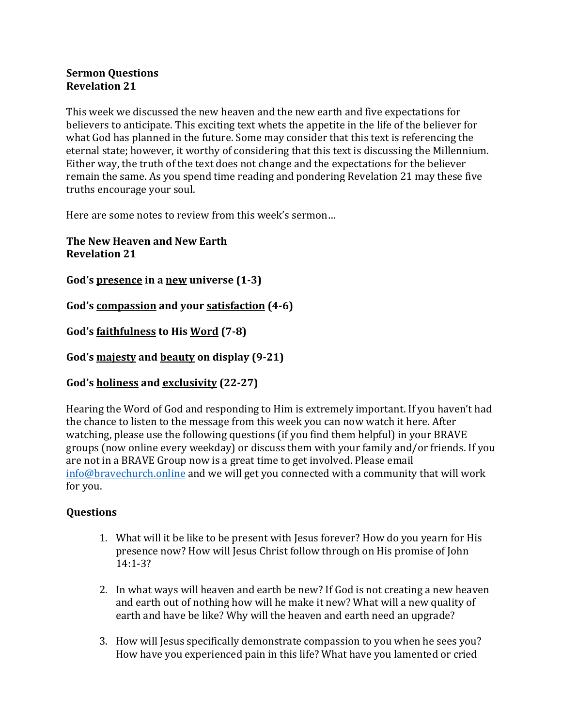## **Sermon Questions Revelation 21**

This week we discussed the new heaven and the new earth and five expectations for believers to anticipate. This exciting text whets the appetite in the life of the believer for what God has planned in the future. Some may consider that this text is referencing the eternal state; however, it worthy of considering that this text is discussing the Millennium. Either way, the truth of the text does not change and the expectations for the believer remain the same. As you spend time reading and pondering Revelation 21 may these five truths encourage your soul.

Here are some notes to review from this week's sermon...

**The New Heaven and New Earth Revelation 21**

God's presence in a new universe  $(1-3)$ 

**God's compassion and your satisfaction (4-6)**

God's <u>faithfulness</u> to His Word (7-8)

God's majesty and beauty on display (9-21)

## **God's holiness and exclusivity (22-27)**

Hearing the Word of God and responding to Him is extremely important. If you haven't had the chance to listen to the message from this week you can now watch it here. After watching, please use the following questions (if you find them helpful) in your BRAVE groups (now online every weekday) or discuss them with your family and/or friends. If you are not in a BRAVE Group now is a great time to get involved. Please email  $in$  fo  $@$  bravechurch.online and we will get you connected with a community that will work for you.

## **Questions**

- 1. What will it be like to be present with Jesus forever? How do you yearn for His presence now? How will Jesus Christ follow through on His promise of John 14:1-3?
- 2. In what ways will heaven and earth be new? If God is not creating a new heaven and earth out of nothing how will he make it new? What will a new quality of earth and have be like? Why will the heaven and earth need an upgrade?
- 3. How will Jesus specifically demonstrate compassion to you when he sees you? How have you experienced pain in this life? What have you lamented or cried